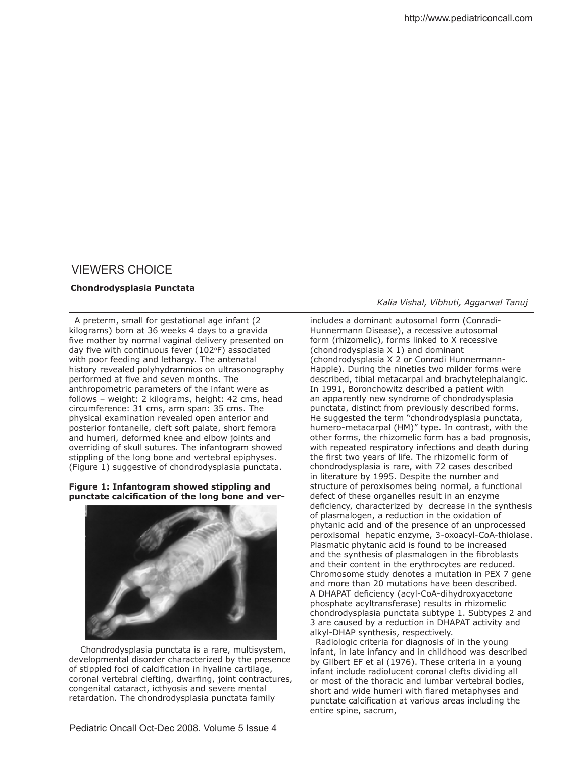# VIEWERS CHOICE

### **Chondrodysplasia Punctata**

 A preterm, small for gestational age infant (2 kilograms) born at 36 weeks 4 days to a gravida five mother by normal vaginal delivery presented on day five with continuous fever (102°F) associated with poor feeding and lethargy. The antenatal history revealed polyhydramnios on ultrasonography performed at five and seven months. The anthropometric parameters of the infant were as follows – weight: 2 kilograms, height: 42 cms, head circumference: 31 cms, arm span: 35 cms. The physical examination revealed open anterior and posterior fontanelle, cleft soft palate, short femora and humeri, deformed knee and elbow joints and overriding of skull sutures. The infantogram showed stippling of the long bone and vertebral epiphyses. (Figure 1) suggestive of chondrodysplasia punctata.

## **Figure 1: Infantogram showed stippling and punctate calciication of the long bone and ver-**



 Chondrodysplasia punctata is a rare, multisystem, developmental disorder characterized by the presence of stippled foci of calcification in hyaline cartilage, coronal vertebral clefting, dwarfing, joint contractures, congenital cataract, icthyosis and severe mental retardation. The chondrodysplasia punctata family

#### *Kalia Vishal, Vibhuti, Aggarwal Tanuj*

includes a dominant autosomal form (Conradi-Hunnermann Disease), a recessive autosomal form (rhizomelic), forms linked to X recessive (chondrodysplasia X 1) and dominant (chondrodysplasia X 2 or Conradi Hunnermann-Happle). During the nineties two milder forms were described, tibial metacarpal and brachytelephalangic. In 1991, Boronchowitz described a patient with an apparently new syndrome of chondrodysplasia punctata, distinct from previously described forms. He suggested the term "chondrodysplasia punctata, humero-metacarpal (HM)" type. In contrast, with the other forms, the rhizomelic form has a bad prognosis, with repeated respiratory infections and death during the first two years of life. The rhizomelic form of chondrodysplasia is rare, with 72 cases described in literature by 1995. Despite the number and structure of peroxisomes being normal, a functional defect of these organelles result in an enzyme deficiency, characterized by decrease in the synthesis of plasmalogen, a reduction in the oxidation of phytanic acid and of the presence of an unprocessed peroxisomal hepatic enzyme, 3-oxoacyl-CoA-thiolase. Plasmatic phytanic acid is found to be increased and the synthesis of plasmalogen in the fibroblasts and their content in the erythrocytes are reduced. Chromosome study denotes a mutation in PEX 7 gene and more than 20 mutations have been described. A DHAPAT deficiency (acyl-CoA-dihydroxyacetone phosphate acyltransferase) results in rhizomelic chondrodysplasia punctata subtype 1. Subtypes 2 and 3 are caused by a reduction in DHAPAT activity and alkyl-DHAP synthesis, respectively.

 Radiologic criteria for diagnosis of in the young infant, in late infancy and in childhood was described by Gilbert EF et al (1976). These criteria in a young infant include radiolucent coronal clefts dividing all or most of the thoracic and lumbar vertebral bodies, short and wide humeri with flared metaphyses and punctate calcification at various areas including the entire spine, sacrum,